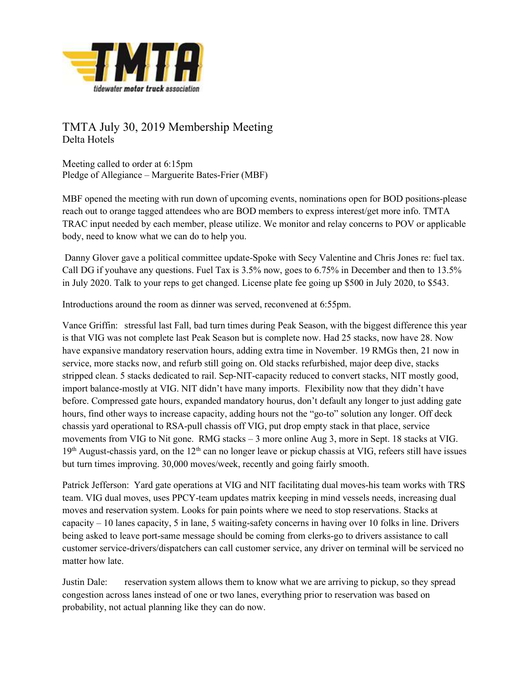

TMTA July 30, 2019 Membership Meeting Delta Hotels

Meeting called to order at 6:15pm Pledge of Allegiance – Marguerite Bates-Frier (MBF)

MBF opened the meeting with run down of upcoming events, nominations open for BOD positions-please reach out to orange tagged attendees who are BOD members to express interest/get more info. TMTA TRAC input needed by each member, please utilize. We monitor and relay concerns to POV or applicable body, need to know what we can do to help you.

 Danny Glover gave a political committee update-Spoke with Secy Valentine and Chris Jones re: fuel tax. Call DG if youhave any questions. Fuel Tax is 3.5% now, goes to 6.75% in December and then to 13.5% in July 2020. Talk to your reps to get changed. License plate fee going up \$500 in July 2020, to \$543.

Introductions around the room as dinner was served, reconvened at 6:55pm.

Vance Griffin: stressful last Fall, bad turn times during Peak Season, with the biggest difference this year is that VIG was not complete last Peak Season but is complete now. Had 25 stacks, now have 28. Now have expansive mandatory reservation hours, adding extra time in November. 19 RMGs then, 21 now in service, more stacks now, and refurb still going on. Old stacks refurbished, major deep dive, stacks stripped clean. 5 stacks dedicated to rail. Sep-NIT-capacity reduced to convert stacks, NIT mostly good, import balance-mostly at VIG. NIT didn't have many imports. Flexibility now that they didn't have before. Compressed gate hours, expanded mandatory hourus, don't default any longer to just adding gate hours, find other ways to increase capacity, adding hours not the "go-to" solution any longer. Off deck chassis yard operational to RSA-pull chassis off VIG, put drop empty stack in that place, service movements from VIG to Nit gone. RMG stacks – 3 more online Aug 3, more in Sept. 18 stacks at VIG.  $19<sup>th</sup>$  August-chassis yard, on the  $12<sup>th</sup>$  can no longer leave or pickup chassis at VIG, refeers still have issues but turn times improving. 30,000 moves/week, recently and going fairly smooth.

Patrick Jefferson: Yard gate operations at VIG and NIT facilitating dual moves-his team works with TRS team. VIG dual moves, uses PPCY-team updates matrix keeping in mind vessels needs, increasing dual moves and reservation system. Looks for pain points where we need to stop reservations. Stacks at capacity – 10 lanes capacity, 5 in lane, 5 waiting-safety concerns in having over 10 folks in line. Drivers being asked to leave port-same message should be coming from clerks-go to drivers assistance to call customer service-drivers/dispatchers can call customer service, any driver on terminal will be serviced no matter how late.

Justin Dale: reservation system allows them to know what we are arriving to pickup, so they spread congestion across lanes instead of one or two lanes, everything prior to reservation was based on probability, not actual planning like they can do now.